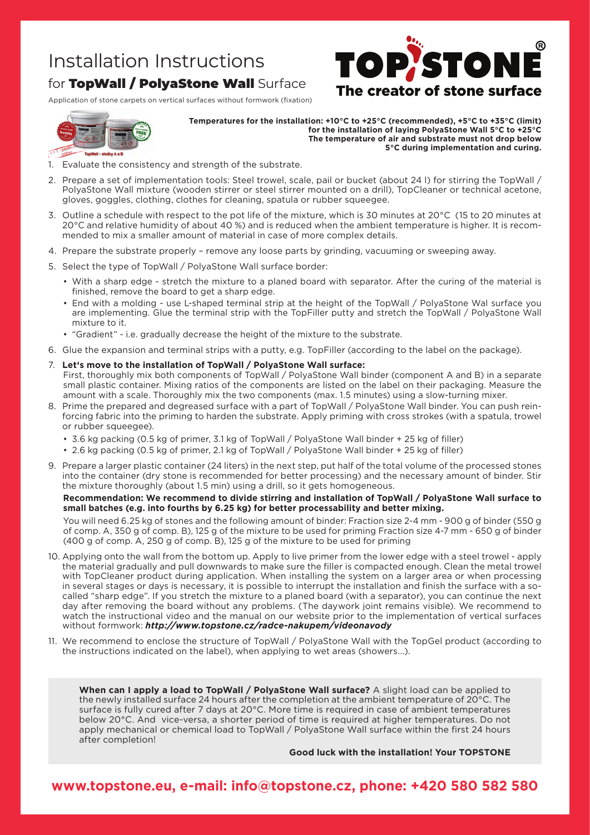### Installation Instructions

### for TopWall / PolyaStone Wall Surface

Application of stone carpets on vertical surfaces without formwork (fixation)



**Temperatures for the installation: +10°C to +25°C (recommended), +5°C to +35°C (limit) for the installation of laying PolyaStone Wall 5°C to +25°C The temperature of air and substrate must not drop below 5°C during implementation and curing.**

The creator of stone surface

**STON** 

- 1. Evaluate the consistency and strength of the substrate.
- 2. Prepare a set of implementation tools: Steel trowel, scale, pail or bucket (about 24 l) for stirring the TopWall / PolyaStone Wall mixture (wooden stirrer or steel stirrer mounted on a drill), TopCleaner or technical acetone, gloves, goggles, clothing, clothes for cleaning, spatula or rubber squeegee.
- 3. Outline a schedule with respect to the pot life of the mixture, which is 30 minutes at 20°C (15 to 20 minutes at 20°C and relative humidity of about 40 %) and is reduced when the ambient temperature is higher. It is recommended to mix a smaller amount of material in case of more complex details.
- 4. Prepare the substrate properly remove any loose parts by grinding, vacuuming or sweeping away.
- 5. Select the type of TopWall / PolyaStone Wall surface border:
	- • With a sharp edge stretch the mixture to a planed board with separator. After the curing of the material is finished, remove the board to get a sharp edge.
	- End with a molding use L-shaped terminal strip at the height of the TopWall / PolyaStone Wal surface you are implementing. Glue the terminal strip with the TopFiller putty and stretch the TopWall / PolyaStone Wall mixture to it.
	- • "Gradient" i.e. gradually decrease the height of the mixture to the substrate.
- 6. Glue the expansion and terminal strips with a putty, e.g. TopFiller (according to the label on the package).
- 7. **Let's move to the installation of TopWall / PolyaStone Wall surface:** First, thoroughly mix both components of TopWall / PolyaStone Wall binder (component A and B) in a separate small plastic container. Mixing ratios of the components are listed on the label on their packaging. Measure the amount with a scale. Thoroughly mix the two components (max. 1.5 minutes) using a slow-turning mixer.
- 8. Prime the prepared and degreased surface with a part of TopWall / PolyaStone Wall binder. You can push reinforcing fabric into the priming to harden the substrate. Apply priming with cross strokes (with a spatula, trowel or rubber squeegee).
	- • 3.6 kg packing (0.5 kg of primer, 3.1 kg of TopWall / PolyaStone Wall binder + 25 kg of filler)
	- • 2.6 kg packing (0.5 kg of primer, 2.1 kg of TopWall / PolyaStone Wall binder + 25 kg of filler)
- 9. Prepare a larger plastic container (24 liters) in the next step, put half of the total volume of the processed stones into the container (dry stone is recommended for better processing) and the necessary amount of binder. Stir the mixture thoroughly (about 1.5 min) using a drill, so it gets homogeneous.

#### **Recommendation: We recommend to divide stirring and installation of TopWall / PolyaStone Wall surface to small batches (e.g. into fourths by 6.25 kg) for better processability and better mixing.**

You will need 6.25 kg of stones and the following amount of binder: Fraction size 2-4 mm - 900 g of binder (550 g of comp. A, 350 g of comp. B), 125 g of the mixture to be used for priming Fraction size 4-7 mm - 650 g of binder (400 g of comp. A, 250 g of comp. B), 125 g of the mixture to be used for priming

- 10. Applying onto the wall from the bottom up. Apply to live primer from the lower edge with a steel trowel apply the material gradually and pull downwards to make sure the filler is compacted enough. Clean the metal trowel with TopCleaner product during application. When installing the system on a larger area or when processing in several stages or days is necessary, it is possible to interrupt the installation and finish the surface with a socalled "sharp edge". If you stretch the mixture to a planed board (with a separator), you can continue the next day after removing the board without any problems. (The daywork joint remains visible). We recommend to watch the instructional video and the manual on our website prior to the implementation of vertical surfaces without formwork: *http://www.topstone.cz/radce-nakupem/videonavody*
- 11. We recommend to enclose the structure of TopWall / PolyaStone Wall with the TopGel product (according to the instructions indicated on the label), when applying to wet areas (showers...).

**When can I apply a load to TopWall / PolyaStone Wall surface?** A slight load can be applied to the newly installed surface 24 hours after the completion at the ambient temperature of 20°C. The surface is fully cured after 7 days at 20°C. More time is required in case of ambient temperatures below 20°C. And vice-versa, a shorter period of time is required at higher temperatures. Do not apply mechanical or chemical load to TopWall / PolyaStone Wall surface within the first 24 hours after completion!

**Good luck with the installation! Your TOPSTONE**